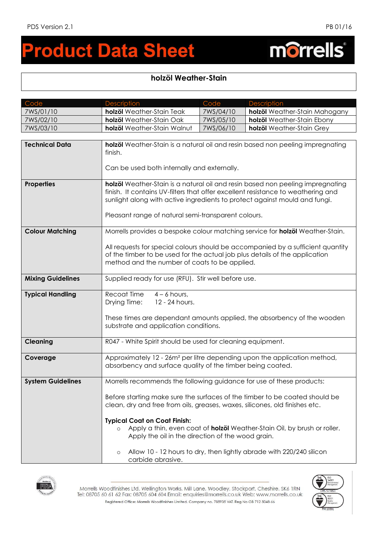morrells®

## **roduct Data Sheet**  $\blacksquare$

## **holzöl Weather-Stain**

| Code                     | <b>Description</b>                                                                                                                                                                                                                                                                                      | Code      | <b>Description</b>                                                              |
|--------------------------|---------------------------------------------------------------------------------------------------------------------------------------------------------------------------------------------------------------------------------------------------------------------------------------------------------|-----------|---------------------------------------------------------------------------------|
| 7WS/01/10                | holzöl Weather-Stain Teak                                                                                                                                                                                                                                                                               | 7WS/04/10 | holzöl Weather-Stain Mahogany                                                   |
| 7WS/02/10                | holzöl Weather-Stain Oak                                                                                                                                                                                                                                                                                | 7WS/05/10 | holzöl Weather-Stain Ebony                                                      |
| 7WS/03/10                | holzöl Weather-Stain Walnut                                                                                                                                                                                                                                                                             | 7WS/06/10 | holzöl Weather-Stain Grey                                                       |
|                          |                                                                                                                                                                                                                                                                                                         |           |                                                                                 |
| <b>Technical Data</b>    | holzöl Weather-Stain is a natural oil and resin based non peeling impregnating<br>finish.<br>Can be used both internally and externally.                                                                                                                                                                |           |                                                                                 |
| <b>Properties</b>        | holzöl Weather-Stain is a natural oil and resin based non peeling impregnating<br>finish. It contains UV-filters that offer excellent resistance to weathering and<br>sunlight along with active ingredients to protect against mould and fungi.<br>Pleasant range of natural semi-transparent colours. |           |                                                                                 |
| <b>Colour Matching</b>   | Morrells provides a bespoke colour matching service for holzöl Weather-Stain.<br>All requests for special colours should be accompanied by a sufficient quantity<br>of the timber to be used for the actual job plus details of the application<br>method and the number of coats to be applied.        |           |                                                                                 |
| <b>Mixing Guidelines</b> | Supplied ready for use (RFU). Stir well before use.                                                                                                                                                                                                                                                     |           |                                                                                 |
| <b>Typical Handling</b>  | Recoat Time<br>$4 - 6$ hours,<br>Drying Time:<br>12 - 24 hours.<br>These times are dependant amounts applied, the absorbency of the wooden<br>substrate and application conditions.                                                                                                                     |           |                                                                                 |
| <b>Cleaning</b>          | R047 - White Spirit should be used for cleaning equipment.                                                                                                                                                                                                                                              |           |                                                                                 |
| Coverage                 | Approximately 12 - 26m <sup>2</sup> per litre depending upon the application method,<br>absorbency and surface quality of the timber being coated.                                                                                                                                                      |           |                                                                                 |
| <b>System Guidelines</b> | Morrells recommends the following guidance for use of these products:                                                                                                                                                                                                                                   |           |                                                                                 |
|                          | clean, dry and free from oils, greases, waxes, silicones, old finishes etc.<br><b>Typical Coat on Coat Finish:</b>                                                                                                                                                                                      |           | Before starting make sure the surfaces of the timber to be coated should be     |
|                          | $\circ$<br>Apply the oil in the direction of the wood grain.                                                                                                                                                                                                                                            |           | Apply a thin, even coat of <b>holzöl</b> Weather-Stain Oil, by brush or roller. |
|                          | $\circ$<br>carbide abrasive.                                                                                                                                                                                                                                                                            |           | Allow 10 - 12 hours to dry, then lightly abrade with 220/240 silicon            |